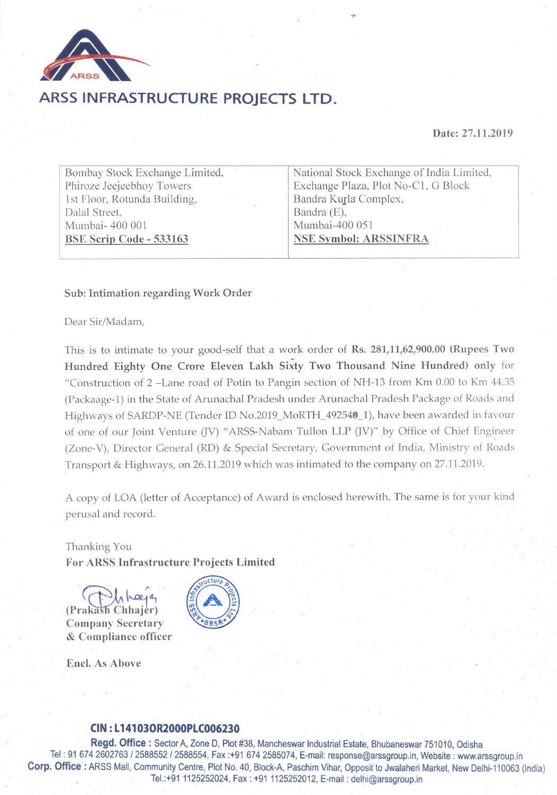

### ARSS INFRASTRUCTURE PROJECTS LTD.

#### Date: 27.11.2019

Bombay Stock Exchange Limited, Phiroze Jeejeebhoy Towers 1st Floor, Rotunda Building. Dalal Street. Mumbai- 400 001 **BSE Scrip Code - 533163** 

National Stock Exchange of India Limited, Exchange Plaza, Plot No-C1, G Block Bandra Kurla Complex, Bandra (E). Mumbai-400 051 **NSE Symbol: ARSSINFRA** 

#### Sub: Intimation regarding Work Order

Dear Sir/Madam.

This is to intimate to your good-self that a work order of Rs. 281,11,62,900.00 (Rupees Two) Hundred Eighty One Crore Eleven Lakh Sixty Two Thousand Nine Hundred) only for "Construction of 2 –Lane road of Potin to Pangin section of NH-13 from Km 0.00 to Km 44.35 (Packaage-1) in the State of Arunachal Pradesh under Arunachal Pradesh Package of Roads and Highways of SARDP-NE (Tender ID No.2019\_MoRTH\_492540\_1), have been awarded in favour of one of our Joint Venture (JV) "ARSS-Nabam Tullon LLP (JV)" by Office of Chief Engineer (Zone-V), Director General (RD) & Special Secretary, Government of India, Ministry of Roads Transport & Highways, on 26.11.2019 which was intimated to the company on 27.11.2019.

A copy of LOA (letter of Acceptance) of Award is enclosed herewith. The same is for your kind perusal and record.

Thanking You **For ARSS Infrastructure Projects Limited** 

(Prakash Chhajer) **Company Secretary** & Compliance officer



Encl. As Above

#### CIN: L14103OR2000PLC006230

Regd. Office: Sector A, Zone D, Plot #38, Mancheswar Industrial Estate, Bhubaneswar 751010, Odisha Tel: 91 674 2602763 / 2588552 / 2588554, Fax:+91 674 2585074, E-mail: response@arssgroup.in, Website: www.arssgroup.in Corp. Office: ARSS Mall, Community Centre, Plot No. 40, Block-A, Paschim Vihar, Opposit to Jwalaheri Market, New Delhi-110063 (India) Tel.:+91 1125252024, Fax: +91 1125252012, E-mail: delhi@arssgroup.in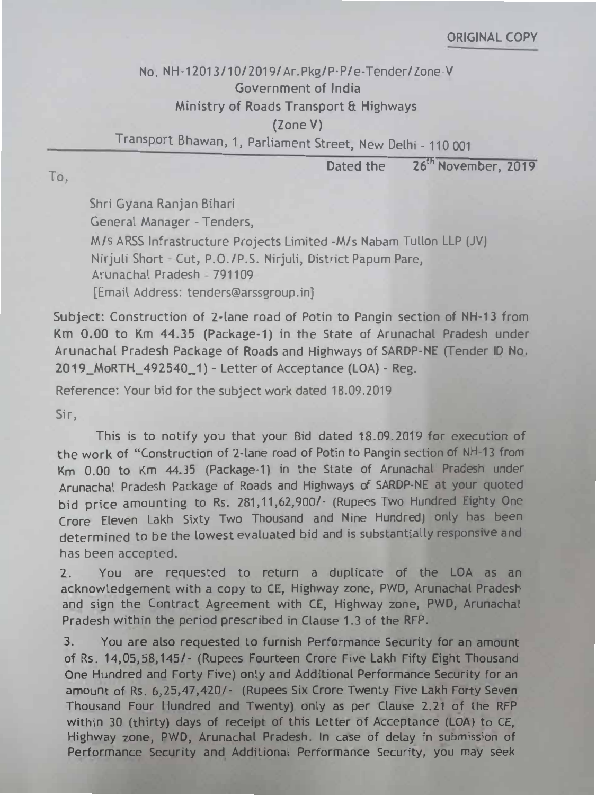To,

## **ORIGINAL COPY**

# No. NH-12013/10/2019/Ar.Pkg/P-P/e-Tender/Zone-V Government of India Ministry of Roads Transport & Highways {Zone V)

Transport Bhawan, 1, Parliament Street, New Delhi - 110 001

Dated the 26<sup>th</sup> November, 2019

Shri Gyana Ranjan Bihari

General Manager - Tenders,

M/s ARSS Infrastructure Projects Limited -M/s Nabam Tullon LLP (JV) Nirjuli Short - Cut, P.O./P.S. Nirjuli, District Papum Pare, Arunachal Pradesh - 791109

[Email Address: tenders@arssgroup.in]

Subject: Construction of 2-lane road of Potin to Pangin section of NH-13 from Km 0.00 to Km 44.35 (Package-1) in the State of Arunachal Pradesh under Arunachal Pradesh Package of Roads and Highways of SARDP-NE (Tender ID No. 2019 \_MoRTH\_ 492540\_ 1) - Letter of Acceptance (LOA) - Reg.

Reference: Your bid for the subject work dated 18.09.2019

3. You are also requested to furnish Performance Security for an amount of Rs. 14,05,58, 145/- (Rupees Fourteen Crore Five Lakh Fifty Eight Thousand One Hundred and Forty Five) only and Additional Performance Security for a<sup>n</sup> <sup>a</sup>mount of Rs. 6,25,47,420/- (Rupees Six Crore Twenty Five Lakh Forty Seve<sup>n</sup> Thousand Four Hundred and Twenty) only as per Clause 2.21 of the RFP within 30 (thirty) days of receipt of this Letter of Acceptance (LOA) to CE, Highway zone, PWD, Arunachal Pradesh. In case of delay in submission of Performance Security and Additional Performance Security, you may seek

Sir,

This is to notify you that your Bid dated 18.09.2019 for execution of the work of "Construction of 2-lane road of Potin to Pangin section of NH-13 from Km 0.00 to Km 44.35 (Package-1) in the State of Arunachal Pradesh under Arunachat Pradesh Package of Roads and Highways of SARDP-NE at your quoted bid price amounting to Rs. 281, 11, 62, 900/ - (Rupees Two Hundred Eighty One Crore Eleven Lakh Sixty Two Thousand and Nine Hundred) only has been determined to be the lowest evaluated bid and is substantially responsive and has been accepted.

2. You are requested to return a duplicate of the LOA as an acknowledgement with a copy to CE, Highway zone, PWD, Arunachal Pradesh and sign the Contract Agreement with CE, Highway zone, PWD, Arunachal Pradesh within the period prescribed in Clause 1.3 of the RFP.